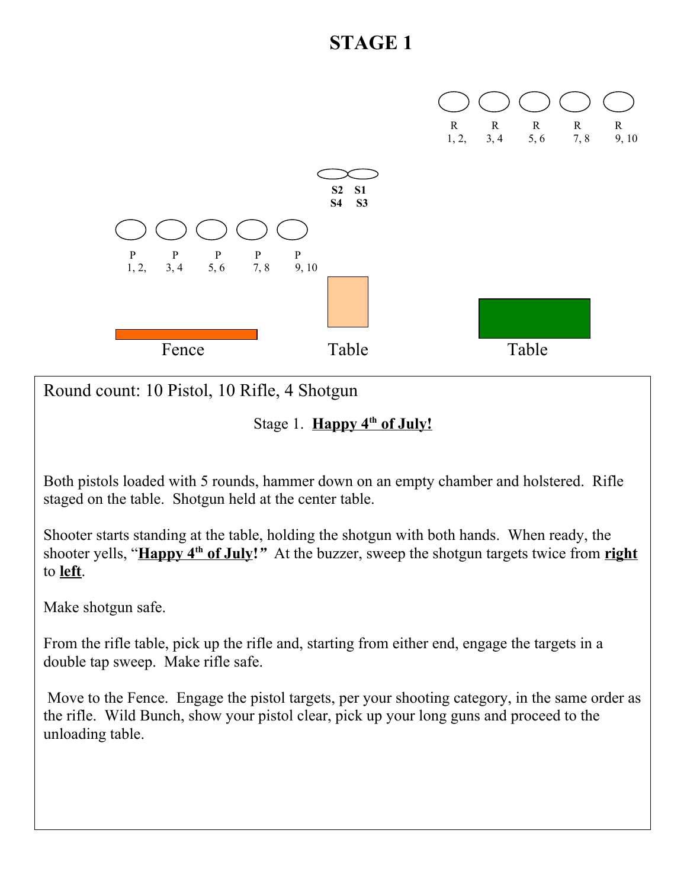

Round count: 10 Pistol, 10 Rifle, 4 Shotgun

Stage 1. **Happy 4<sup>th</sup> of July!** 

Both pistols loaded with 5 rounds, hammer down on an empty chamber and holstered. Rifle staged on the table. Shotgun held at the center table.

Shooter starts standing at the table, holding the shotgun with both hands. When ready, the shooter yells, " **Happy 4th of July!***"* At the buzzer, sweep the shotgun targets twice from **right** to **left**.

Make shotgun safe.

From the rifle table, pick up the rifle and, starting from either end, engage the targets in a double tap sweep. Make rifle safe.

 Move to the Fence. Engage the pistol targets, per your shooting category, in the same order as the rifle. Wild Bunch, show your pistol clear, pick up your long guns and proceed to the unloading table.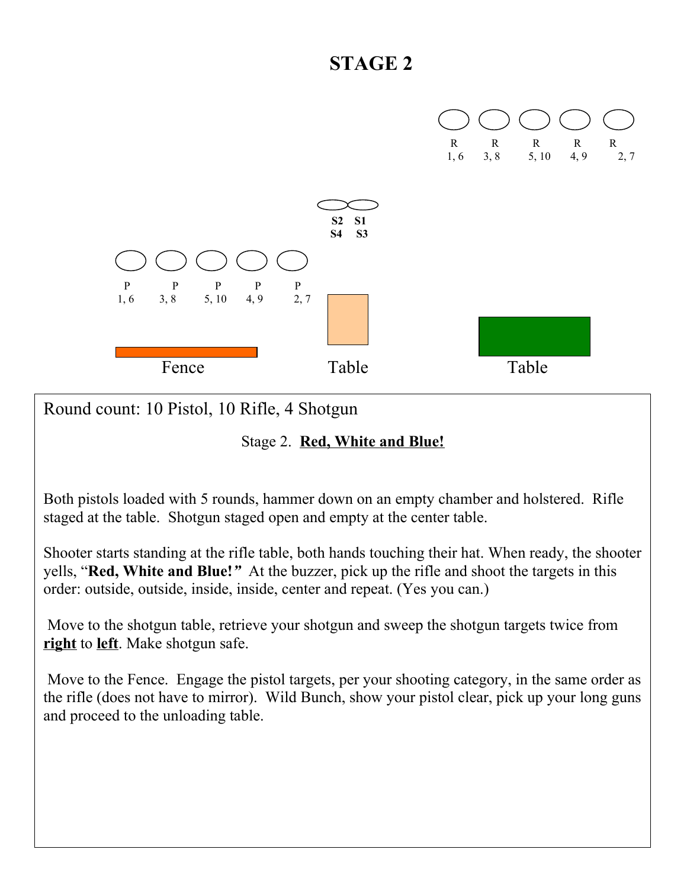

Round count: 10 Pistol, 10 Rifle, 4 Shotgun

Stage 2. **Red, White and Blue!**

Both pistols loaded with 5 rounds, hammer down on an empty chamber and holstered. Rifle staged at the table. Shotgun staged open and empty at the center table.

Shooter starts standing at the rifle table, both hands touching their hat. When ready, the shooter yells, "**Red, White and Blue!***"* At the buzzer, pick up the rifle and shoot the targets in this order: outside, outside, inside, inside, center and repeat. (Yes you can.)

 Move to the shotgun table, retrieve your shotgun and sweep the shotgun targets twice from **right** to **left**. Make shotgun safe.

 Move to the Fence. Engage the pistol targets, per your shooting category, in the same order as the rifle (does not have to mirror). Wild Bunch, show your pistol clear, pick up your long guns and proceed to the unloading table.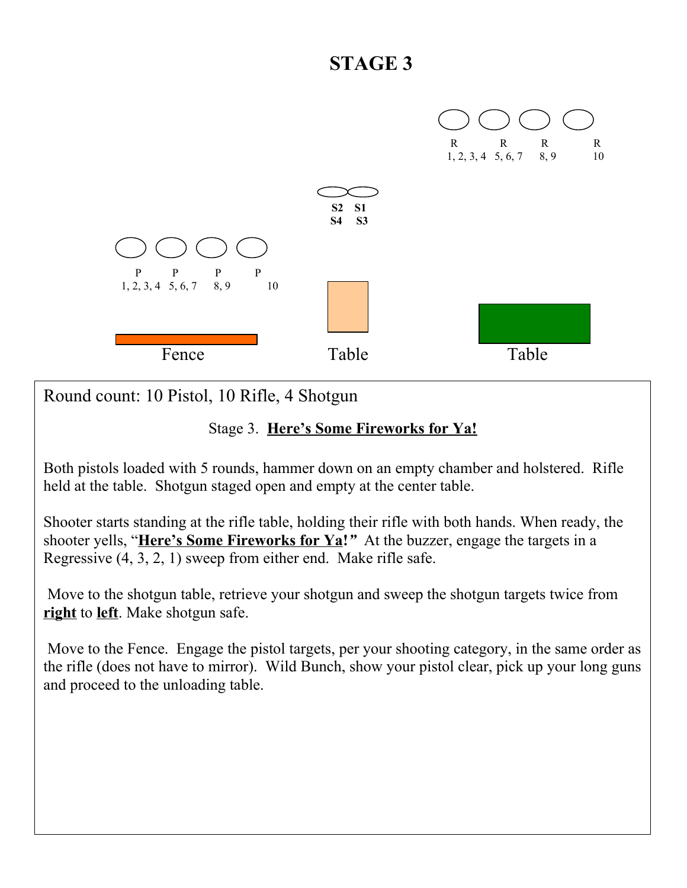

Round count: 10 Pistol, 10 Rifle, 4 Shotgun

#### Stage 3. **Here's Some Fireworks for Ya!**

Both pistols loaded with 5 rounds, hammer down on an empty chamber and holstered. Rifle held at the table. Shotgun staged open and empty at the center table.

Shooter starts standing at the rifle table, holding their rifle with both hands. When ready, the shooter yells, "**Here's Some Fireworks for Ya!***"* At the buzzer, engage the targets in a Regressive (4, 3, 2, 1) sweep from either end. Make rifle safe.

 Move to the shotgun table, retrieve your shotgun and sweep the shotgun targets twice from **right** to **left**. Make shotgun safe.

 Move to the Fence. Engage the pistol targets, per your shooting category, in the same order as the rifle (does not have to mirror). Wild Bunch, show your pistol clear, pick up your long guns and proceed to the unloading table.